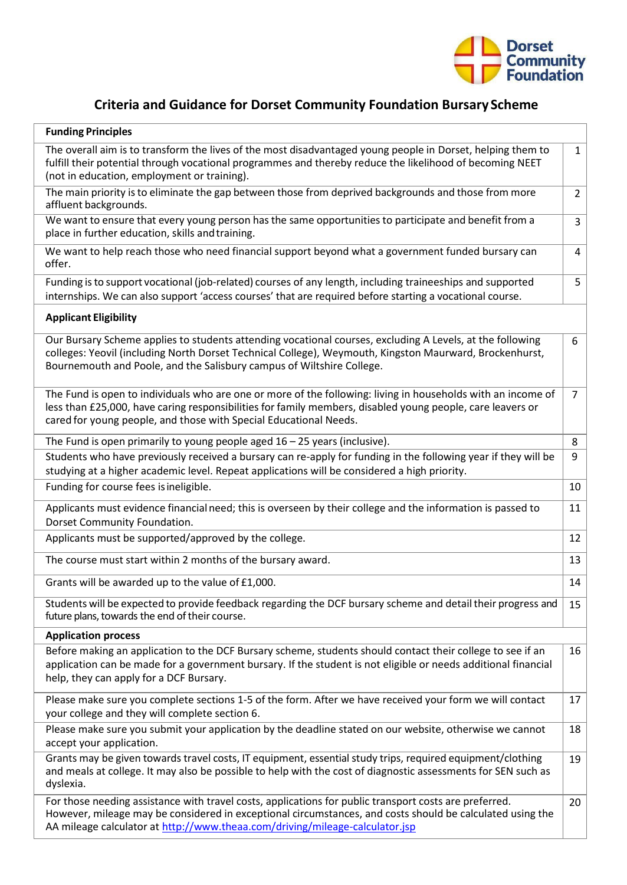

## **Criteria and Guidance for Dorset Community Foundation Bursary Scheme**

| <b>Funding Principles</b>                                                                                                                                                                                                                                                                           |                |
|-----------------------------------------------------------------------------------------------------------------------------------------------------------------------------------------------------------------------------------------------------------------------------------------------------|----------------|
| The overall aim is to transform the lives of the most disadvantaged young people in Dorset, helping them to<br>fulfill their potential through vocational programmes and thereby reduce the likelihood of becoming NEET<br>(not in education, employment or training).                              | $\mathbf{1}$   |
| The main priority is to eliminate the gap between those from deprived backgrounds and those from more<br>affluent backgrounds.                                                                                                                                                                      | $\overline{2}$ |
| We want to ensure that every young person has the same opportunities to participate and benefit from a<br>place in further education, skills and training.                                                                                                                                          | $\mathbf{3}$   |
| We want to help reach those who need financial support beyond what a government funded bursary can<br>offer.                                                                                                                                                                                        | 4              |
| Funding is to support vocational (job-related) courses of any length, including traineeships and supported<br>internships. We can also support 'access courses' that are required before starting a vocational course.                                                                              | 5              |
| <b>Applicant Eligibility</b>                                                                                                                                                                                                                                                                        |                |
| Our Bursary Scheme applies to students attending vocational courses, excluding A Levels, at the following<br>colleges: Yeovil (including North Dorset Technical College), Weymouth, Kingston Maurward, Brockenhurst,<br>Bournemouth and Poole, and the Salisbury campus of Wiltshire College.       | 6              |
| The Fund is open to individuals who are one or more of the following: living in households with an income of<br>less than £25,000, have caring responsibilities for family members, disabled young people, care leavers or<br>cared for young people, and those with Special Educational Needs.     | 7 <sup>1</sup> |
| The Fund is open primarily to young people aged $16 - 25$ years (inclusive).                                                                                                                                                                                                                        | 8              |
| Students who have previously received a bursary can re-apply for funding in the following year if they will be<br>studying at a higher academic level. Repeat applications will be considered a high priority.                                                                                      | 9              |
| Funding for course fees is ineligible.                                                                                                                                                                                                                                                              | 10             |
| Applicants must evidence financial need; this is overseen by their college and the information is passed to<br>Dorset Community Foundation.                                                                                                                                                         | 11             |
| Applicants must be supported/approved by the college.                                                                                                                                                                                                                                               | 12             |
| The course must start within 2 months of the bursary award.                                                                                                                                                                                                                                         | 13             |
| Grants will be awarded up to the value of £1,000.                                                                                                                                                                                                                                                   | 14             |
| Students will be expected to provide feedback regarding the DCF bursary scheme and detail their progress and<br>future plans, towards the end of their course.                                                                                                                                      | 15             |
| <b>Application process</b>                                                                                                                                                                                                                                                                          |                |
| Before making an application to the DCF Bursary scheme, students should contact their college to see if an<br>application can be made for a government bursary. If the student is not eligible or needs additional financial<br>help, they can apply for a DCF Bursary.                             | 16             |
| Please make sure you complete sections 1-5 of the form. After we have received your form we will contact<br>your college and they will complete section 6.                                                                                                                                          | 17             |
| Please make sure you submit your application by the deadline stated on our website, otherwise we cannot<br>accept your application.                                                                                                                                                                 | 18             |
| Grants may be given towards travel costs, IT equipment, essential study trips, required equipment/clothing<br>and meals at college. It may also be possible to help with the cost of diagnostic assessments for SEN such as<br>dyslexia.                                                            | 19             |
| For those needing assistance with travel costs, applications for public transport costs are preferred.<br>However, mileage may be considered in exceptional circumstances, and costs should be calculated using the<br>AA mileage calculator at http://www.theaa.com/driving/mileage-calculator.jsp | 20             |